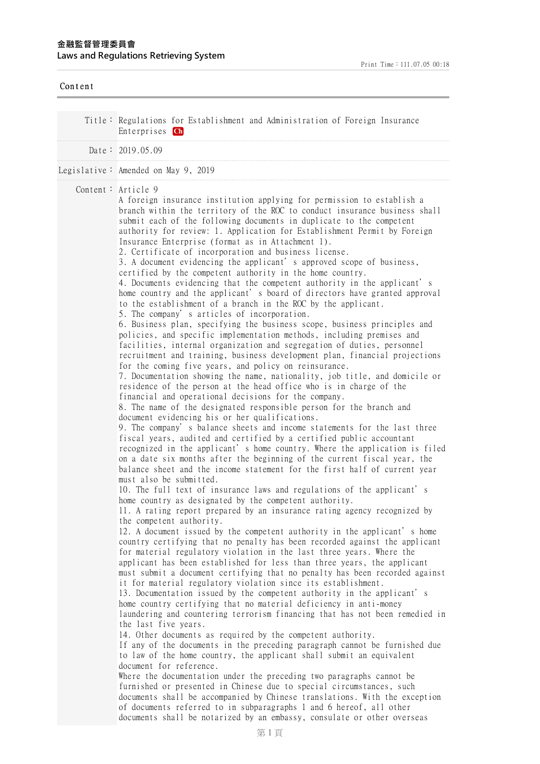| Content |                                                                                                                                                                                                                                                                                                                                                                                                                                                                                                                                                                                                                                                                                                                                                                                                                                                                                                                                                                                                                                                                                                                                                                                                                                                                                                                                                                                                                                                                                                                                                                                                                                                                                                                                                                                                                                                                                                                                                                                                                                                                                                                                                                                                                                                                                                                                                                                                                                                                                                                                                                                                                                                                                                                                                                                                                                                                                                                                                                                                                                                                                                                                                                                                                                                                                                                                                                                                                                                                                                                                                                                             |
|---------|---------------------------------------------------------------------------------------------------------------------------------------------------------------------------------------------------------------------------------------------------------------------------------------------------------------------------------------------------------------------------------------------------------------------------------------------------------------------------------------------------------------------------------------------------------------------------------------------------------------------------------------------------------------------------------------------------------------------------------------------------------------------------------------------------------------------------------------------------------------------------------------------------------------------------------------------------------------------------------------------------------------------------------------------------------------------------------------------------------------------------------------------------------------------------------------------------------------------------------------------------------------------------------------------------------------------------------------------------------------------------------------------------------------------------------------------------------------------------------------------------------------------------------------------------------------------------------------------------------------------------------------------------------------------------------------------------------------------------------------------------------------------------------------------------------------------------------------------------------------------------------------------------------------------------------------------------------------------------------------------------------------------------------------------------------------------------------------------------------------------------------------------------------------------------------------------------------------------------------------------------------------------------------------------------------------------------------------------------------------------------------------------------------------------------------------------------------------------------------------------------------------------------------------------------------------------------------------------------------------------------------------------------------------------------------------------------------------------------------------------------------------------------------------------------------------------------------------------------------------------------------------------------------------------------------------------------------------------------------------------------------------------------------------------------------------------------------------------------------------------------------------------------------------------------------------------------------------------------------------------------------------------------------------------------------------------------------------------------------------------------------------------------------------------------------------------------------------------------------------------------------------------------------------------------------------------------------------------|
|         | Title: Regulations for Establishment and Administration of Foreign Insurance<br>Enterprises Ch                                                                                                                                                                                                                                                                                                                                                                                                                                                                                                                                                                                                                                                                                                                                                                                                                                                                                                                                                                                                                                                                                                                                                                                                                                                                                                                                                                                                                                                                                                                                                                                                                                                                                                                                                                                                                                                                                                                                                                                                                                                                                                                                                                                                                                                                                                                                                                                                                                                                                                                                                                                                                                                                                                                                                                                                                                                                                                                                                                                                                                                                                                                                                                                                                                                                                                                                                                                                                                                                                              |
|         | Date: $2019.05.09$                                                                                                                                                                                                                                                                                                                                                                                                                                                                                                                                                                                                                                                                                                                                                                                                                                                                                                                                                                                                                                                                                                                                                                                                                                                                                                                                                                                                                                                                                                                                                                                                                                                                                                                                                                                                                                                                                                                                                                                                                                                                                                                                                                                                                                                                                                                                                                                                                                                                                                                                                                                                                                                                                                                                                                                                                                                                                                                                                                                                                                                                                                                                                                                                                                                                                                                                                                                                                                                                                                                                                                          |
|         | Legislative: Amended on May 9, 2019                                                                                                                                                                                                                                                                                                                                                                                                                                                                                                                                                                                                                                                                                                                                                                                                                                                                                                                                                                                                                                                                                                                                                                                                                                                                                                                                                                                                                                                                                                                                                                                                                                                                                                                                                                                                                                                                                                                                                                                                                                                                                                                                                                                                                                                                                                                                                                                                                                                                                                                                                                                                                                                                                                                                                                                                                                                                                                                                                                                                                                                                                                                                                                                                                                                                                                                                                                                                                                                                                                                                                         |
|         | Content: $Article 9$<br>A foreign insurance institution applying for permission to establish a<br>branch within the territory of the ROC to conduct insurance business shall<br>submit each of the following documents in duplicate to the competent<br>authority for review: 1. Application for Establishment Permit by Foreign<br>Insurance Enterprise (format as in Attachment 1).<br>2. Certificate of incorporation and business license.<br>3. A document evidencing the applicant's approved scope of business,<br>certified by the competent authority in the home country.<br>4. Documents evidencing that the competent authority in the applicant's<br>home country and the applicant's board of directors have granted approval<br>to the establishment of a branch in the ROC by the applicant.<br>5. The company's articles of incorporation.<br>6. Business plan, specifying the business scope, business principles and<br>policies, and specific implementation methods, including premises and<br>facilities, internal organization and segregation of duties, personnel<br>recruitment and training, business development plan, financial projections<br>for the coming five years, and policy on reinsurance.<br>7. Documentation showing the name, nationality, job title, and domicile or<br>residence of the person at the head office who is in charge of the<br>financial and operational decisions for the company.<br>8. The name of the designated responsible person for the branch and<br>document evidencing his or her qualifications.<br>9. The company's balance sheets and income statements for the last three<br>fiscal years, audited and certified by a certified public accountant<br>recognized in the applicant's home country. Where the application is filed<br>on a date six months after the beginning of the current fiscal year, the<br>balance sheet and the income statement for the first half of current year<br>must also be submitted.<br>10. The full text of insurance laws and regulations of the applicant's<br>home country as designated by the competent authority.<br>11. A rating report prepared by an insurance rating agency recognized by<br>the competent authority.<br>12. A document issued by the competent authority in the applicant's home<br>country certifying that no penalty has been recorded against the applicant<br>for material regulatory violation in the last three years. Where the<br>applicant has been established for less than three years, the applicant<br>must submit a document certifying that no penalty has been recorded against<br>it for material regulatory violation since its establishment.<br>13. Documentation issued by the competent authority in the applicant's<br>home country certifying that no material deficiency in anti-money<br>laundering and countering terrorism financing that has not been remedied in<br>the last five years.<br>14. Other documents as required by the competent authority.<br>If any of the documents in the preceding paragraph cannot be furnished due<br>to law of the home country, the applicant shall submit an equivalent<br>document for reference.<br>Where the documentation under the preceding two paragraphs cannot be<br>furnished or presented in Chinese due to special circumstances, such<br>documents shall be accompanied by Chinese translations. With the exception<br>of documents referred to in subparagraphs 1 and 6 hereof, all other<br>documents shall be notarized by an embassy, consulate or other overseas |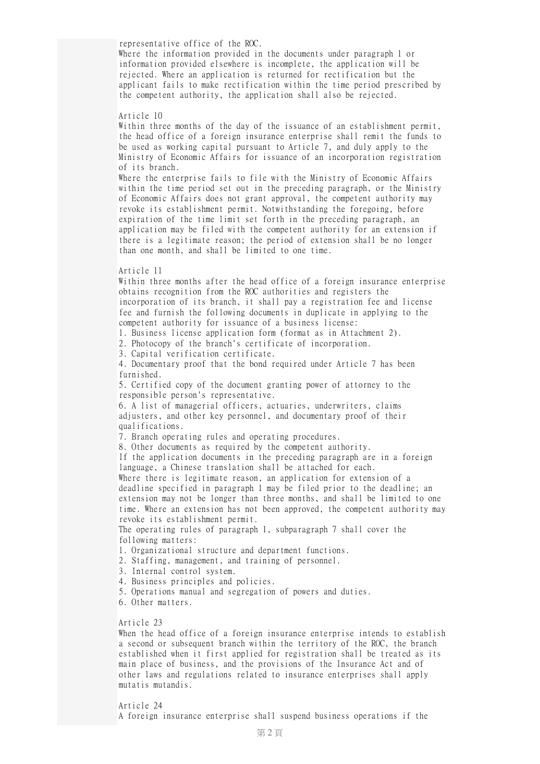representative office of the ROC.

Where the information provided in the documents under paragraph 1 or information provided elsewhere is incomplete, the application will be rejected. Where an application is returned for rectification but the applicant fails to make rectification within the time period prescribed by the competent authority, the application shall also be rejected.

## Article 10

Within three months of the day of the issuance of an establishment permit, the head office of a foreign insurance enterprise shall remit the funds to be used as working capital pursuant to Article 7, and duly apply to the Ministry of Economic Affairs for issuance of an incorporation registration of its branch. Where the enterprise fails to file with the Ministry of Economic Affairs within the time period set out in the preceding paragraph, or the Ministry of Economic Affairs does not grant approval, the competent authority may revoke its establishment permit. Notwithstanding the foregoing, before expiration of the time limit set forth in the preceding paragraph, an application may be filed with the competent authority for an extension if there is a legitimate reason; the period of extension shall be no longer

than one month, and shall be limited to one time.

## Article 11

Within three months after the head office of a foreign insurance enterprise obtains recognition from the ROC authorities and registers the incorporation of its branch, it shall pay a registration fee and license fee and furnish the following documents in duplicate in applying to the competent authority for issuance of a business license: 1. Business license application form (format as in Attachment 2). 2. Photocopy of the branch's certificate of incorporation. 3. Capital verification certificate. 4. Documentary proof that the bond required under Article 7 has been furnished. 5. Certified copy of the document granting power of attorney to the responsible person's representative. 6. A list of managerial officers, actuaries, underwriters, claims adjusters, and other key personnel, and documentary proof of their qualifications. 7. Branch operating rules and operating procedures. 8. Other documents as required by the competent authority. If the application documents in the preceding paragraph are in a foreign language, a Chinese translation shall be attached for each. Where there is legitimate reason, an application for extension of a deadline specified in paragraph 1 may be filed prior to the deadline; an extension may not be longer than three months, and shall be limited to one time. Where an extension has not been approved, the competent authority may revoke its establishment permit. The operating rules of paragraph 1, subparagraph 7 shall cover the following matters: 1. Organizational structure and department functions. 2. Staffing, management, and training of personnel. 3. Internal control system. 4. Business principles and policies. 5. Operations manual and segregation of powers and duties. 6. Other matters.

## Article 23

When the head office of a foreign insurance enterprise intends to establish a second or subsequent branch within the territory of the ROC, the branch established when it first applied for registration shall be treated as its main place of business, and the provisions of the Insurance Act and of other laws and regulations related to insurance enterprises shall apply mutatis mutandis.

## Article 24

A foreign insurance enterprise shall suspend business operations if the